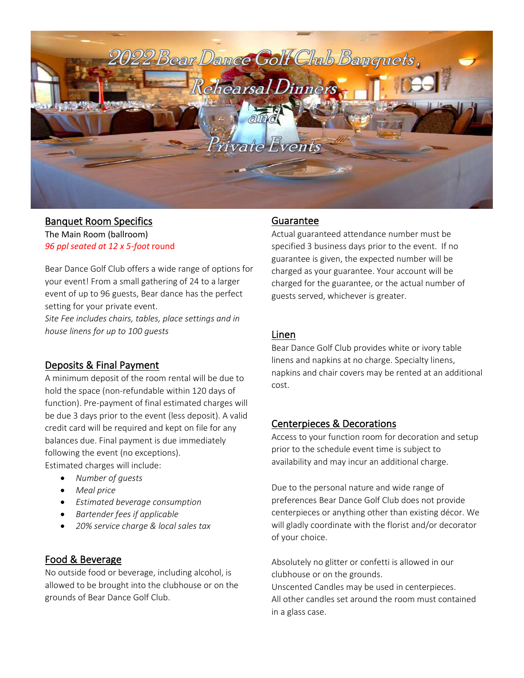

#### Banquet Room Specifics The Main Room (ballroom) *96 ppl seated at 12 x 5-foot* round

Bear Dance Golf Club offers a wide range of options for your event! From a small gathering of 24 to a larger event of up to 96 guests, Bear dance has the perfect setting for your private event. *Site Fee includes chairs, tables, place settings and in house linens for up to 100 guests*

# Deposits & Final Payment

A minimum deposit of the room rental will be due to hold the space (non-refundable within 120 days of function). Pre-payment of final estimated charges will be due 3 days prior to the event (less deposit). A valid credit card will be required and kept on file for any balances due. Final payment is due immediately following the event (no exceptions). Estimated charges will include:

- *Number of guests*
- *Meal price*
- *Estimated beverage consumption*
- *Bartender fees if applicable*
- *20% service charge & local sales tax*

# Food & Beverage

No outside food or beverage, including alcohol, is allowed to be brought into the clubhouse or on the grounds of Bear Dance Golf Club.

### Guarantee

specified 3 business days prior to the event. If no 303 996 1561 guarantee is given, the expected number will be Actual guaranteed attendance number must be charged as your guarantee. Your account will be charged for the guarantee, or the actual number of guests served, whichever is greater.

## Linen

Bear Dance Golf Club provides white or ivory table linens and napkins at no charge. Specialty linens, napkins and chair covers may be rented at an additional cost.

# Centerpieces & Decorations

Access to your function room for decoration and setup prior to the schedule event time is subject to availability and may incur an additional charge.

Due to the personal nature and wide range of preferences Bear Dance Golf Club does not provide centerpieces or anything other than existing décor. We will gladly coordinate with the florist and/or decorator of your choice.

Absolutely no glitter or confetti is allowed in our clubhouse or on the grounds.

Unscented Candles may be used in centerpieces. All other candles set around the room must contained in a glass case.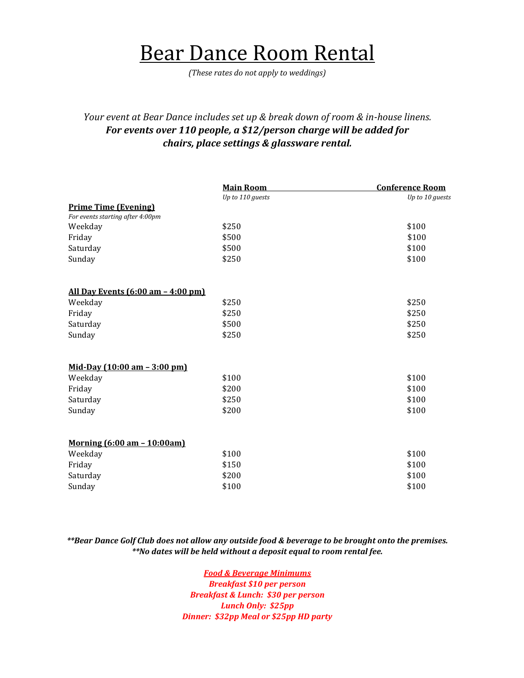# Bear Dance Room Rental

*(These rates do not apply to weddings)*

# *Your event at Bear Dance includes set up & break down of room & in-house linens. For events over 110 people, a \$12/person charge will be added for chairs, place settings & glassware rental.*

|                                           | <b>Main Room</b> | <b>Conference Room</b> |
|-------------------------------------------|------------------|------------------------|
|                                           | Up to 110 guests | Up to 10 guests        |
| <b>Prime Time (Evening)</b>               |                  |                        |
| For events starting after 4:00pm          |                  |                        |
| Weekday                                   | \$250            | \$100                  |
| Friday                                    | \$500            | \$100                  |
| Saturday                                  | \$500            | \$100                  |
| Sunday                                    | \$250            | \$100                  |
| <u>All Day Events (6:00 am - 4:00 pm)</u> |                  |                        |
| Weekday                                   | \$250            | \$250                  |
| Friday                                    | \$250            | \$250                  |
| Saturday                                  | \$500            | \$250                  |
| Sunday                                    | \$250            | \$250                  |
| Mid-Day (10:00 am - 3:00 pm)              |                  |                        |
| Weekday                                   | \$100            | \$100                  |
| Friday                                    | \$200            | \$100                  |
| Saturday                                  | \$250            | \$100                  |
| Sunday                                    | \$200            | \$100                  |
|                                           |                  |                        |
| Morning (6:00 am - 10:00am)               |                  |                        |
| Weekday                                   | \$100            | \$100                  |
| Friday                                    | \$150            | \$100                  |
| Saturday                                  | \$200            | \$100                  |
| Sunday                                    | \$100            | \$100                  |

#### *\*\*Bear Dance Golf Club does not allow any outside food & beverage to be brought onto the premises. \*\*No dates will be held without a deposit equal to room rental fee.*

*Food & Beverage Minimums Breakfast \$10 per person Breakfast & Lunch: \$30 per person Lunch Only: \$25pp Dinner: \$32pp Meal or \$25pp HD party*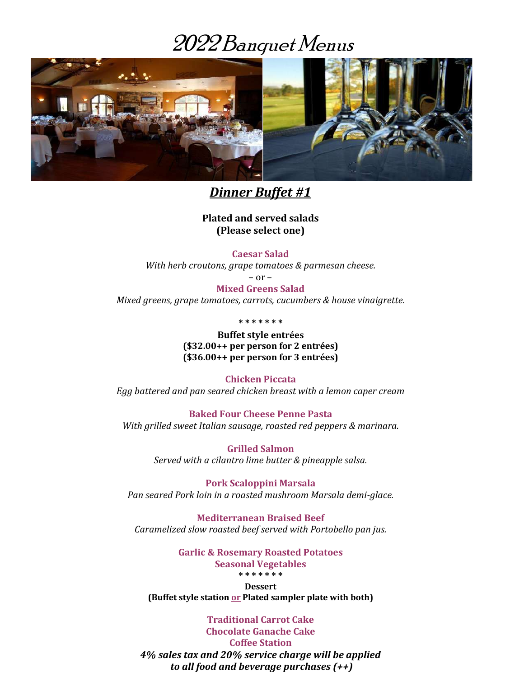# 2022Banquet Menus



*Dinner Buffet #1*

**Plated and served salads (Please select one)**

**Caesar Salad**

*With herb croutons, grape tomatoes & parmesan cheese.*

– or –

**Mixed Greens Salad** *Mixed greens, grape tomatoes, carrots, cucumbers & house vinaigrette.*

**\* \* \* \* \* \* \***

**Buffet style entrées (\$32.00++ per person for 2 entrées) (\$36.00++ per person for 3 entrées)**

**Chicken Piccata** 

*Egg battered and pan seared chicken breast with a lemon caper cream*

**Baked Four Cheese Penne Pasta**  *With grilled sweet Italian sausage, roasted red peppers & marinara.* 

> **Grilled Salmon** *Served with a cilantro lime butter & pineapple salsa.*

**Pork Scaloppini Marsala**  *Pan seared Pork loin in a roasted mushroom Marsala demi-glace.*

**Mediterranean Braised Beef** *Caramelized slow roasted beef served with Portobello pan jus.*

> **Garlic & Rosemary Roasted Potatoes Seasonal Vegetables \* \* \* \* \* \* \***

**Dessert (Buffet style station or Plated sampler plate with both)**

**Traditional Carrot Cake Chocolate Ganache Cake Coffee Station** *4% sales tax and 20% service charge will be applied to all food and beverage purchases (++)*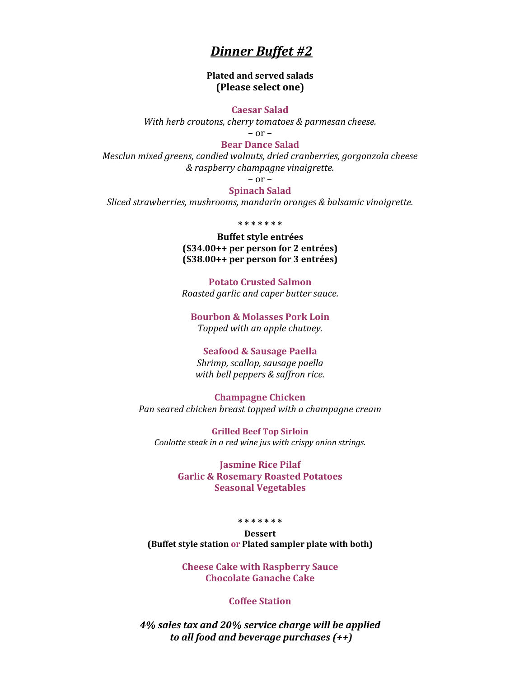# *Dinner Buffet #2*

**Plated and served salads (Please select one)**

**Caesar Salad**

*With herb croutons, cherry tomatoes & parmesan cheese.*

– or –

#### **Bear Dance Salad**

*Mesclun mixed greens, candied walnuts, dried cranberries, gorgonzola cheese & raspberry champagne vinaigrette.*

 $-$  or  $-$ 

## **Spinach Salad**

*Sliced strawberries, mushrooms, mandarin oranges & balsamic vinaigrette.*

#### **\* \* \* \* \* \* \***

**Buffet style entrées (\$34.00++ per person for 2 entrées) (\$38.00++ per person for 3 entrées)**

**Potato Crusted Salmon** *Roasted garlic and caper butter sauce.*

**Bourbon & Molasses Pork Loin** *Topped with an apple chutney.*

#### **Seafood & Sausage Paella**

*Shrimp, scallop, sausage paella with bell peppers & saffron rice.*

**Champagne Chicken** *Pan seared chicken breast topped with a champagne cream* 

**Grilled Beef Top Sirloin** *Coulotte steak in a red wine jus with crispy onion strings.*

> **Jasmine Rice Pilaf Garlic & Rosemary Roasted Potatoes Seasonal Vegetables**

#### **\* \* \* \* \* \* \***

**Dessert (Buffet style station or Plated sampler plate with both)**

> **Cheese Cake with Raspberry Sauce Chocolate Ganache Cake**

#### **Coffee Station**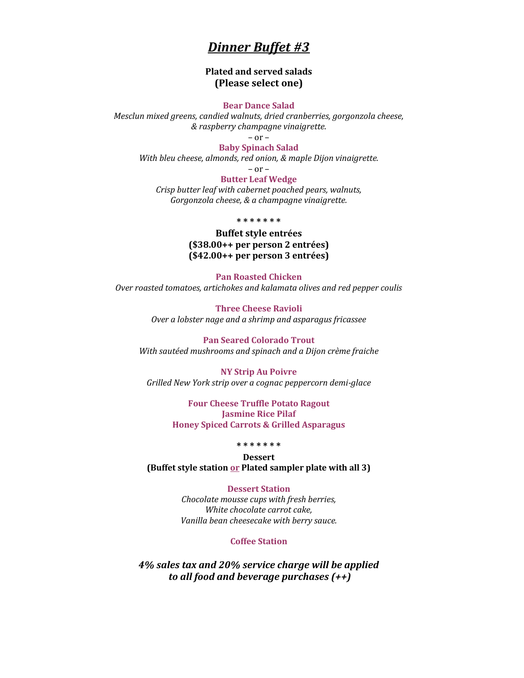# *Dinner Buffet #3*

#### **Plated and served salads (Please select one)**

#### **Bear Dance Salad**

*Mesclun mixed greens, candied walnuts, dried cranberries, gorgonzola cheese, & raspberry champagne vinaigrette.*

– or –

**Baby Spinach Salad** *With bleu cheese, almonds, red onion, & maple Dijon vinaigrette.*

– or –

**Butter Leaf Wedge**  *Crisp butter leaf with cabernet poached pears, walnuts, Gorgonzola cheese, & a champagne vinaigrette.*

**\* \* \* \* \* \* \***

**Buffet style entrées (\$38.00++ per person 2 entrées) (\$42.00++ per person 3 entrées)**

**Pan Roasted Chicken** *Over roasted tomatoes, artichokes and kalamata olives and red pepper coulis*

> **Three Cheese Ravioli** *Over a lobster nage and a shrimp and asparagus fricassee*

**Pan Seared Colorado Trout** *With sautéed mushrooms and spinach and a Dijon crème fraiche*

**NY Strip Au Poivre** *Grilled New York strip over a cognac peppercorn demi-glace*

> **Four Cheese Truffle Potato Ragout Jasmine Rice Pilaf Honey Spiced Carrots & Grilled Asparagus**

#### **\* \* \* \* \* \* \***

**Dessert (Buffet style station or Plated sampler plate with all 3)**

**Dessert Station**

*Chocolate mousse cups with fresh berries, White chocolate carrot cake, Vanilla bean cheesecake with berry sauce.*

#### **Coffee Station**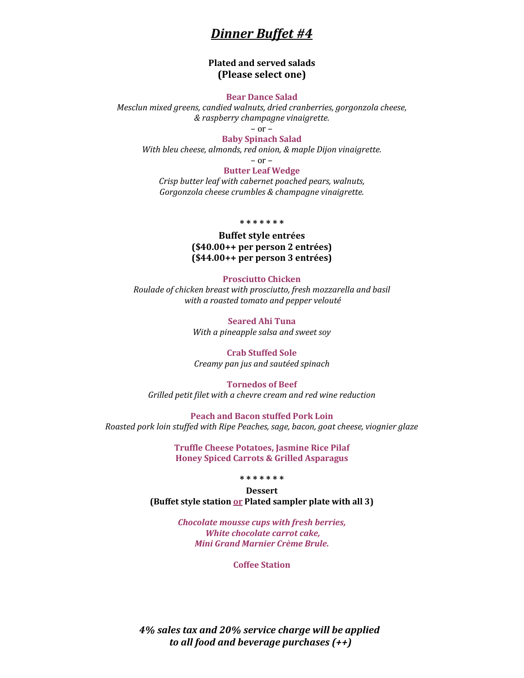# *Dinner Buffet #4*

#### **Plated and served salads (Please select one)**

#### **Bear Dance Salad**

*Mesclun mixed greens, candied walnuts, dried cranberries, gorgonzola cheese, & raspberry champagne vinaigrette.*

– or –

#### **Baby Spinach Salad**

*With bleu cheese, almonds, red onion, & maple Dijon vinaigrette.*

 $-$  or  $-$ 

#### **Butter Leaf Wedge**

*Crisp butter leaf with cabernet poached pears, walnuts, Gorgonzola cheese crumbles & champagne vinaigrette.*

#### **\* \* \* \* \* \* \***

**Buffet style entrées (\$40.00++ per person 2 entrées) (\$44.00++ per person 3 entrées)**

#### **Prosciutto Chicken**

*Roulade of chicken breast with prosciutto, fresh mozzarella and basil with a roasted tomato and pepper velouté*

> **Seared Ahi Tuna** *With a pineapple salsa and sweet soy*

#### **Crab Stuffed Sole** *Creamy pan jus and sautéed spinach*

**Tornedos of Beef** *Grilled petit filet with a chevre cream and red wine reduction*

**Peach and Bacon stuffed Pork Loin** *Roasted pork loin stuffed with Ripe Peaches, sage, bacon, goat cheese, viognier glaze*

> **Truffle Cheese Potatoes, Jasmine Rice Pilaf Honey Spiced Carrots & Grilled Asparagus**

> > **\* \* \* \* \* \* \***

**Dessert (Buffet style station or Plated sampler plate with all 3)**

> *Chocolate mousse cups with fresh berries, White chocolate carrot cake, Mini Grand Marnier Crème Brule.*

> > **Coffee Station**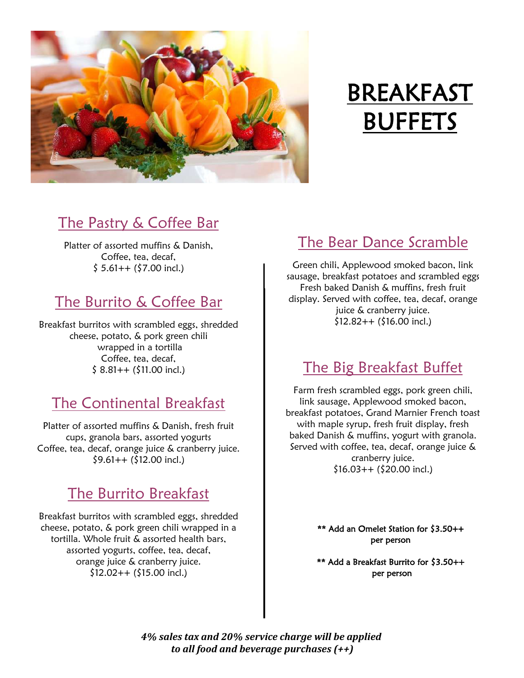

# BREAKFAST **BUFFETS**

# The Pastry & Coffee Bar

Platter of assorted muffins & Danish, Coffee, tea, decaf,  $$5.61++ ($7.00 incl.)$ 

# The Burrito & Coffee Bar

Breakfast burritos with scrambled eggs, shredded cheese, potato, & pork green chili wrapped in a tortilla Coffee, tea, decaf,  $$ 8.81++ ($11.00 incl.)$ 

# The Continental Breakfast

Platter of assorted muffins & Danish, fresh fruit cups, granola bars, assorted yogurts Coffee, tea, decaf, orange juice & cranberry juice.  $$9.61++ ($12.00 incl.)$ 

# The Burrito Breakfast

Breakfast burritos with scrambled eggs, shredded cheese, potato, & pork green chili wrapped in a tortilla. Whole fruit & assorted health bars, assorted yogurts, coffee, tea, decaf, orange juice & cranberry juice. \$12.02++ (\$15.00 incl.)

# The Bear Dance Scramble

Green chili, Applewood smoked bacon, link sausage, breakfast potatoes and scrambled eggs Fresh baked Danish & muffins, fresh fruit display. Served with coffee, tea, decaf, orange juice & cranberry juice.  $$12.82++ ($16.00$  incl.)

# The Big Breakfast Buffet

Farm fresh scrambled eggs, pork green chili, link sausage, Applewood smoked bacon, breakfast potatoes, Grand Marnier French toast with maple syrup, fresh fruit display, fresh baked Danish & muffins, yogurt with granola. Served with coffee, tea, decaf, orange juice & cranberry juice.  $$16.03++$  ( $$20.00$  incl.)

> \*\* Add an Omelet Station for \$3.50++ per person

> \*\* Add a Breakfast Burrito for \$3.50++ per person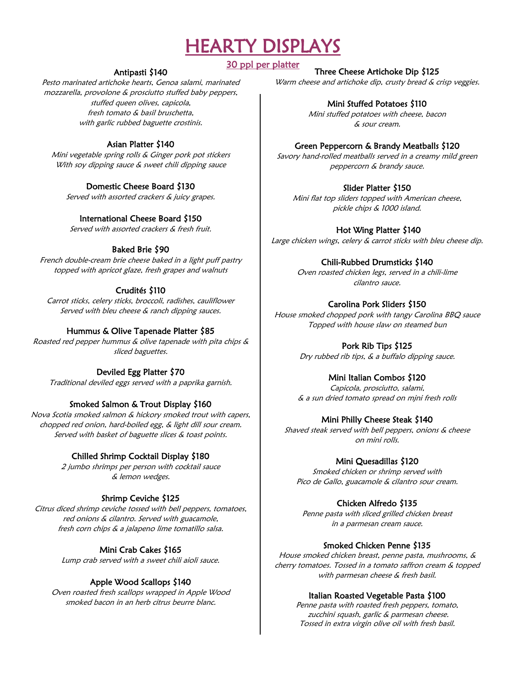# HEARTY DISPLAYS

### 30 ppl per platter

### Antipasti \$140

Pesto marinated artichoke hearts, Genoa salami, marinated mozzarella, provolone & prosciutto stuffed baby peppers, stuffed queen olives, capicola, fresh tomato & basil bruschetta, with garlic rubbed baguette crostinis.

### Asian Platter \$140

Mini vegetable spring rolls & Ginger pork pot stickers With soy dipping sauce & sweet chili dipping sauce

## Domestic Cheese Board \$130

Served with assorted crackers & juicy grapes.

### International Cheese Board \$150

Served with assorted crackers & fresh fruit.

## Baked Brie \$90

French double-cream brie cheese baked in a light puff pastry topped with apricot glaze, fresh grapes and walnuts

# Crudités \$110

Carrot sticks, celery sticks, broccoli, radishes, cauliflower Served with bleu cheese & ranch dipping sauces.

## Hummus & Olive Tapenade Platter \$85

Roasted red pepper hummus & olive tapenade with pita chips & sliced baguettes.

# Deviled Egg Platter \$70

Traditional deviled eggs served with a paprika garnish.

# Smoked Salmon & Trout Display \$160

Nova Scotia smoked salmon & hickory smoked trout with capers, chopped red onion, hard-boiled egg, & light dill sour cream. Served with basket of baguette slices & toast points.

# Chilled Shrimp Cocktail Display \$180

2 jumbo shrimps per person with cocktail sauce & lemon wedges.

# Shrimp Ceviche \$125

Citrus diced shrimp ceviche tossed with bell peppers, tomatoes, red onions & cilantro. Served with guacamole, fresh corn chips & a jalapeno lime tomatillo salsa.

# Mini Crab Cakes \$165

Lump crab served with a sweet chili aioli sauce.

# Apple Wood Scallops \$140

Oven roasted fresh scallops wrapped in Apple Wood smoked bacon in an herb citrus beurre blanc.

#### Three Cheese Artichoke Dip \$125

Warm cheese and artichoke dip, crusty bread & crisp veggies.

#### Mini Stuffed Potatoes \$110

Mini stuffed potatoes with cheese, bacon & sour cream.

### Green Peppercorn & Brandy Meatballs \$120

Savory hand-rolled meatballs served in a creamy mild green peppercorn & brandy sauce.

## Slider Platter \$150

Mini flat top sliders topped with American cheese, pickle chips & 1000 island.

### Hot Wing Platter \$140

Large chicken wings, celery & carrot sticks with bleu cheese dip.

## Chili-Rubbed Drumsticks \$140

Oven roasted chicken legs, served in a chili-lime cilantro sauce.

## Carolina Pork Sliders \$150

House smoked chopped pork with tangy Carolina BBQ sauce Topped with house slaw on steamed bun

# Pork Rib Tips \$125

Dry rubbed rib tips, & a buffalo dipping sauce.

# Mini Italian Combos \$120

Capicola, prosciutto, salami, & a sun dried tomato spread on mjni fresh rolls

# Mini Philly Cheese Steak \$140

Shaved steak served with bell peppers, onions & cheese on mini rolls.

# Mini Quesadillas \$120

Smoked chicken or shrimp served with Pico de Gallo, guacamole & cilantro sour cream.

# Chicken Alfredo \$135

Penne pasta with sliced grilled chicken breast in a parmesan cream sauce.

### Smoked Chicken Penne \$135

House smoked chicken breast, penne pasta, mushrooms, & cherry tomatoes. Tossed in a tomato saffron cream & topped with parmesan cheese & fresh basil.

### Italian Roasted Vegetable Pasta \$100

Penne pasta with roasted fresh peppers, tomato, zucchini squash, garlic & parmesan cheese. Tossed in extra virgin olive oil with fresh basil.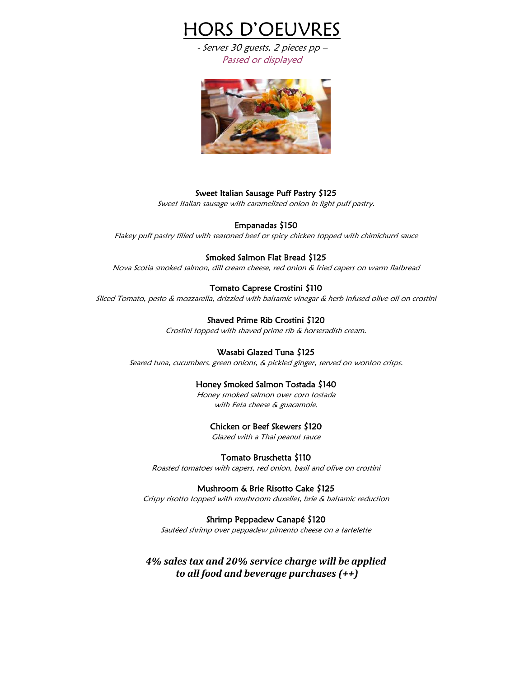

- Serves 30 guests, 2 pieces pp – Passed or displayed



#### Sweet Italian Sausage Puff Pastry \$125

Sweet Italian sausage with caramelized onion in light puff pastry.

#### Empanadas \$150

Flakey puff pastry filled with seasoned beef or spicy chicken topped with chimichurri sauce

#### Smoked Salmon Flat Bread \$125

Nova Scotia smoked salmon, dill cream cheese, red onion & fried capers on warm flatbread

#### Tomato Caprese Crostini \$110

Sliced Tomato, pesto & mozzarella, drizzled with balsamic vinegar & herb infused olive oil on crostini

#### Shaved Prime Rib Crostini \$120

Crostini topped with shaved prime rib & horseradish cream.

#### Wasabi Glazed Tuna \$125

Seared tuna, cucumbers, green onions, & pickled ginger, served on wonton crisps.

#### Honey Smoked Salmon Tostada \$140

Honey smoked salmon over corn tostada with Feta cheese & guacamole.

#### Chicken or Beef Skewers \$120

Glazed with a Thai peanut sauce

#### Tomato Bruschetta \$110

Roasted tomatoes with capers, red onion, basil and olive on crostini

#### Mushroom & Brie Risotto Cake \$125

Crispy risotto topped with mushroom duxelles, brie & balsamic reduction

#### Shrimp Peppadew Canapé \$120

Sautéed shrimp over peppadew pimento cheese on a tartelette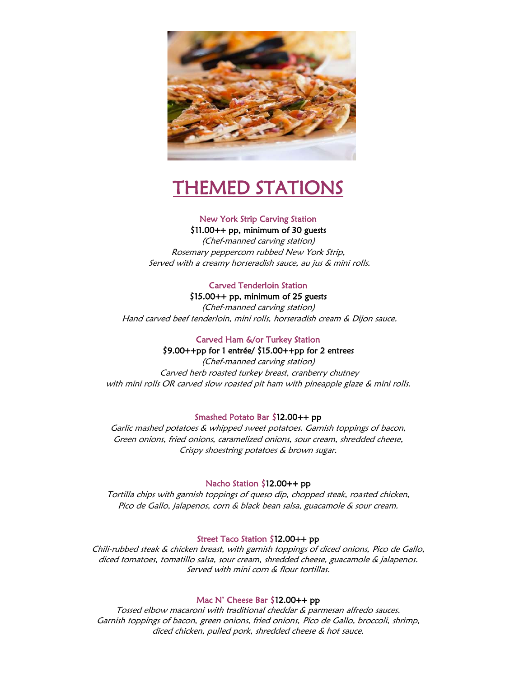

# THEMED STATIONS

#### New York Strip Carving Station \$11.00++ pp, minimum of 30 guests

(Chef-manned carving station) Rosemary peppercorn rubbed New York Strip, Served with a creamy horseradish sauce, au jus & mini rolls.

#### Carved Tenderloin Station

# \$15.00++ pp, minimum of 25 guests

J Hand carved beef tenderloin, mini rolls, horseradish cream & Dijon sauce. (Chef-manned carving station)

### Carved Ham &/or Turkey Station

#### \$9.00++pp for 1 entrée/ \$15.00++pp for 2 entrees

(Chef-manned carving station) Carved herb roasted turkey breast, cranberry chutney with mini rolls OR carved slow roasted pit ham with pineapple glaze & mini rolls.

#### Smashed Potato Bar \$12.00++ pp

Garlic mashed potatoes & whipped sweet potatoes. Garnish toppings of bacon, Green onions, fried onions, caramelized onions, sour cream, shredded cheese, Crispy shoestring potatoes & brown sugar.

#### Nacho Station \$12.00++ pp

Tortilla chips with garnish toppings of queso dip, chopped steak, roasted chicken, Pico de Gallo, jalapenos, corn & black bean salsa, guacamole & sour cream.

#### Street Taco Station \$12.00++ pp

Chili-rubbed steak & chicken breast, with garnish toppings of diced onions, Pico de Gallo, diced tomatoes, tomatillo salsa, sour cream, shredded cheese, guacamole & jalapenos. Served with mini corn & flour tortillas.

#### Mac N' Cheese Bar \$12.00++ pp

Tossed elbow macaroni with traditional cheddar & parmesan alfredo sauces. Garnish toppings of bacon, green onions, fried onions, Pico de Gallo, broccoli, shrimp, diced chicken, pulled pork, shredded cheese & hot sauce.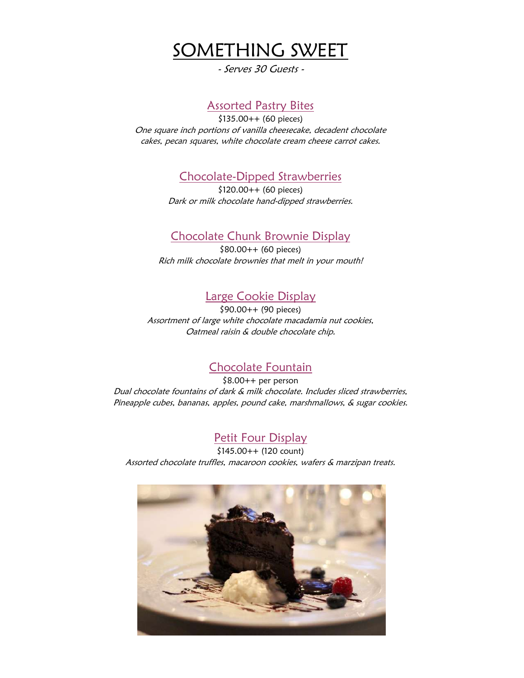

- Serves 30 Guests -

# Assorted Pastry Bites

\$135.00++ (60 pieces) One square inch portions of vanilla cheesecake, decadent chocolate cakes, pecan squares, white chocolate cream cheese carrot cakes.

Chocolate-Dipped Strawberries

\$120.00++ (60 pieces) Dark or milk chocolate hand-dipped strawberries.

# Chocolate Chunk Brownie Display

\$80.00++ (60 pieces) Rich milk chocolate brownies that melt in your mouth!

# Large Cookie Display

\$90.00++ (90 pieces) Assortment of large white chocolate macadamia nut cookies, Oatmeal raisin & double chocolate chip.

# Chocolate Fountain

\$8.00++ per person Dual chocolate fountains of dark & milk chocolate. Includes sliced strawberries, Pineapple cubes, bananas, apples, pound cake, marshmallows, & sugar cookies.

# Petit Four Display

\$145.00++ (120 count) Assorted chocolate truffles, macaroon cookies, wafers & marzipan treats.

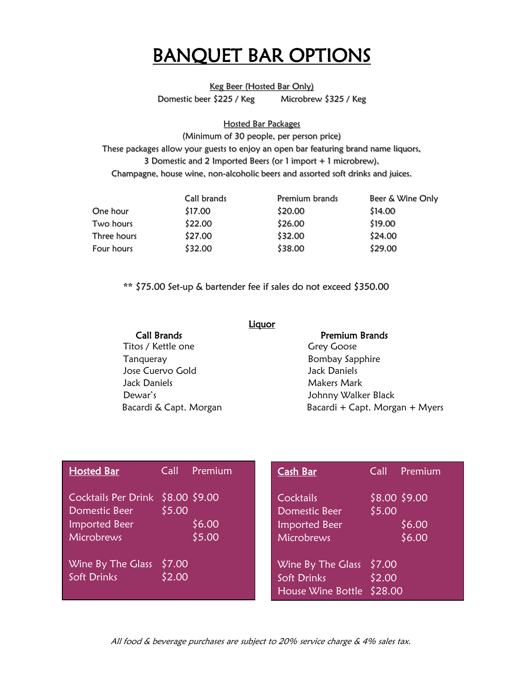# BANQUET BAR OPTIONS

Keg Beer (Hosted Bar Only)

Domestic beer \$225 / Keg Microbrew \$325 / Keg

Hosted Bar Packages

(Minimum of 30 people, per person price) These packages allow your guests to enjoy an open bar featuring brand name liquors, 3 Domestic and 2 Imported Beers (or 1 import + 1 microbrew), Champagne, house wine, non-alcoholic beers and assorted soft drinks and juices.

|             | Call brands | Premium brands | Beer & Wine Only |  |
|-------------|-------------|----------------|------------------|--|
| One hour    | \$17.00     | \$20.00        | \$14.00          |  |
| Two hours   | \$22.00     | \$26.00        | \$19.00          |  |
| Three hours | \$27.00     | \$32.00        | \$24.00          |  |
| Four hours  | \$32.00     | \$38.00        | \$29.00          |  |

\*\* \$75.00 Set-up & bartender fee if sales do not exceed \$350.00

|                        | Liq <u>uor</u>                 |
|------------------------|--------------------------------|
| <b>Call Brands</b>     | Premium Brands                 |
| Titos / Kettle one     | <b>Grey Goose</b>              |
| Tanqueray              | <b>Bombay Sapphire</b>         |
| Jose Cuervo Gold       | Jack Daniels                   |
| Jack Daniels           | Makers Mark                    |
| Dewar's                | Johnny Walker Black            |
| Bacardi & Capt. Morgan | Bacardi + Capt. Morgan + Myers |
|                        |                                |

| <b>Hosted Bar</b>                                                                        | Call             | Premium          | Cash Bar                                                         | Call             | Premium                           |
|------------------------------------------------------------------------------------------|------------------|------------------|------------------------------------------------------------------|------------------|-----------------------------------|
| Cocktails Per Drink \$8.00 \$9.00<br>Domestic Beer<br><b>Imported Beer</b><br>Microbrews | \$5.00           | \$6.00<br>\$5.00 | Cocktails<br>Domestic Beer<br><b>Imported Beer</b><br>Microbrews | \$5.00           | \$8.00 \$9.00<br>\$6.00<br>\$6.00 |
| Wine By The Glass<br>Soft Drinks                                                         | \$7.00<br>\$2.00 |                  | Wine By The Glass<br>Soft Drinks<br>House Wine Bottle \$28.00    | \$7.00<br>\$2.00 |                                   |

All food & beverage purchases are subject to 20% service charge & 4% sales tax. All food & beverage purchases are subject to 20% service charge & 4% sales tax.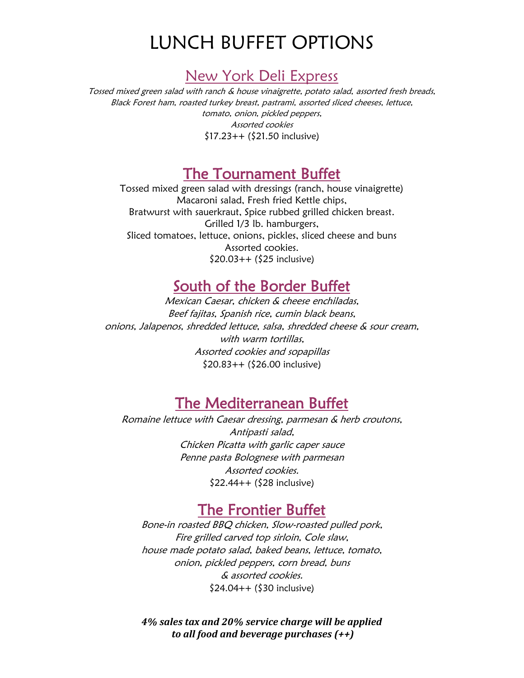# LUNCH BUFFET OPTIONS

# New York Deli Express

Tossed mixed green salad with ranch & house vinaigrette, potato salad, assorted fresh breads, Black Forest ham, roasted turkey breast, pastrami, assorted sliced cheeses, lettuce, tomato, onion, pickled peppers, Assorted cookies \$17.23++ (\$21.50 inclusive)

# The Tournament Buffet

Tossed mixed green salad with dressings (ranch, house vinaigrette) Macaroni salad, Fresh fried Kettle chips, Bratwurst with sauerkraut, Spice rubbed grilled chicken breast. Grilled 1/3 lb. hamburgers, Sliced tomatoes, lettuce, onions, pickles, sliced cheese and buns Assorted cookies.  $$20.03++ ($25$  inclusive)

# South of the Border Buffet

Mexican Caesar, chicken & cheese enchiladas, Beef fajitas, Spanish rice, cumin black beans, onions, Jalapenos, shredded lettuce, salsa, shredded cheese & sour cream, with warm tortillas. Assorted cookies and sopapillas \$20.83++ (\$26.00 inclusive)

# The Mediterranean Buffet

Romaine lettuce with Caesar dressing, parmesan & herb croutons, Antipasti salad, Chicken Picatta with garlic caper sauce Penne pasta Bolognese with parmesan Assorted cookies. \$22.44++ (\$28 inclusive)

# The Frontier Buffet

Bone-in roasted BBQ chicken, Slow-roasted pulled pork, Fire grilled carved top sirloin, Cole slaw, house made potato salad, baked beans, lettuce, tomato, onion, pickled peppers, corn bread, buns & assorted cookies. \$24.04++ (\$30 inclusive)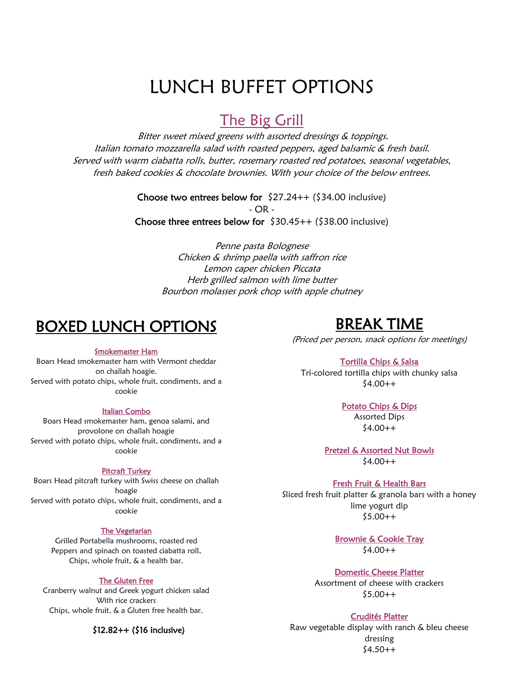# LUNCH BUFFET OPTIONS

# The Big Grill

Bitter sweet mixed greens with assorted dressings & toppings. Italian tomato mozzarella salad with roasted peppers, aged balsamic & fresh basil. Served with warm ciabatta rolls, butter, rosemary roasted red potatoes, seasonal vegetables, fresh baked cookies & chocolate brownies. With your choice of the below entrees.

> Choose two entrees below for  $$27.24++ ($34.00$  inclusive) - OR - Choose three entrees below for  $$30.45++ ($38.00$  inclusive)

> > Penne pasta Bolognese Chicken & shrimp paella with saffron rice Lemon caper chicken Piccata Herb grilled salmon with lime butter Bourbon molasses pork chop with apple chutney

# BOXED LUNCH OPTIONS

#### Smokemaster Ham

Boars Head smokemaster ham with Vermont cheddar on challah hoagie. Served with potato chips, whole fruit, condiments, and a cookie

#### Italian Combo

Boars Head smokemaster ham, genoa salami, and provolone on challah hoagie Served with potato chips, whole fruit, condiments, and a cookie

#### Pitcraft Turkey

Boars Head pitcraft turkey with Swiss cheese on challah hoagie Served with potato chips, whole fruit, condiments, and a cookie

#### The Vegetarian

Grilled Portabella mushrooms, roasted red Peppers and spinach on toasted ciabatta roll, Chips, whole fruit, & a health bar.

#### The Gluten Free

Cranberry walnut and Greek yogurt chicken salad With rice crackers Chips, whole fruit, & a Gluten free health bar.

#### \$12.82++ (\$16 inclusive)

# BREAK TIME

(Priced per person, snack options for meetings)

#### Tortilla Chips & Salsa

Tri-colored tortilla chips with chunky salsa  $$4.00++$ 

#### Potato Chips & Dips

Assorted Dips  $$4.00++$ 

Pretzel & Assorted Nut Bowls  $$4.00++$ 

#### Fresh Fruit & Health Bars

Sliced fresh fruit platter & granola bars with a honey lime yogurt dip  $$5.00++$ 

> Brownie & Cookie Tray  $$4.00++$

#### Domestic Cheese Platter

Assortment of cheese with crackers  $$5.00++$ 

#### Crudités Platter

Raw vegetable display with ranch & bleu cheese dressing  $$4.50++$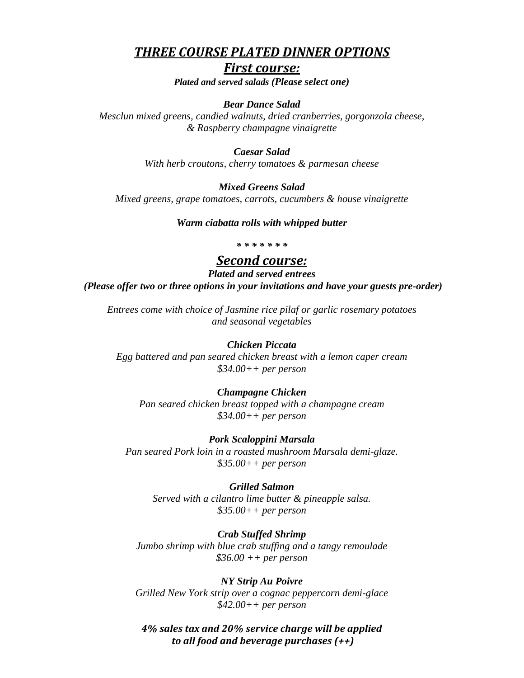# *THREE COURSE PLATED DINNER OPTIONS*

## *First course:*

*Plated and served salads (Please select one)*

#### *Bear Dance Salad*

*Mesclun mixed greens, candied walnuts, dried cranberries, gorgonzola cheese, & Raspberry champagne vinaigrette*

#### *Caesar Salad*

*With herb croutons, cherry tomatoes & parmesan cheese*

#### *Mixed Greens Salad*

*Mixed greens, grape tomatoes, carrots, cucumbers & house vinaigrette*

#### *Warm ciabatta rolls with whipped butter*

#### *\* \* \* \* \* \* \**

# *Second course:*

*Plated and served entrees*

*(Please offer two or three options in your invitations and have your guests pre-order)*

*Entrees come with choice of Jasmine rice pilaf or garlic rosemary potatoes and seasonal vegetables*

### *Chicken Piccata*

*Egg battered and pan seared chicken breast with a lemon caper cream \$34.00++ per person*

#### *Champagne Chicken*

*Pan seared chicken breast topped with a champagne cream \$34.00++ per person*

*Pork Scaloppini Marsala Pan seared Pork loin in a roasted mushroom Marsala demi-glaze. \$35.00++ per person*

#### *Grilled Salmon*

*Served with a cilantro lime butter & pineapple salsa. \$35.00++ per person*

#### *Crab Stuffed Shrimp*

*Jumbo shrimp with blue crab stuffing and a tangy remoulade \$36.00 ++ per person*

*NY Strip Au Poivre Grilled New York strip over a cognac peppercorn demi-glace \$42.00++ per person*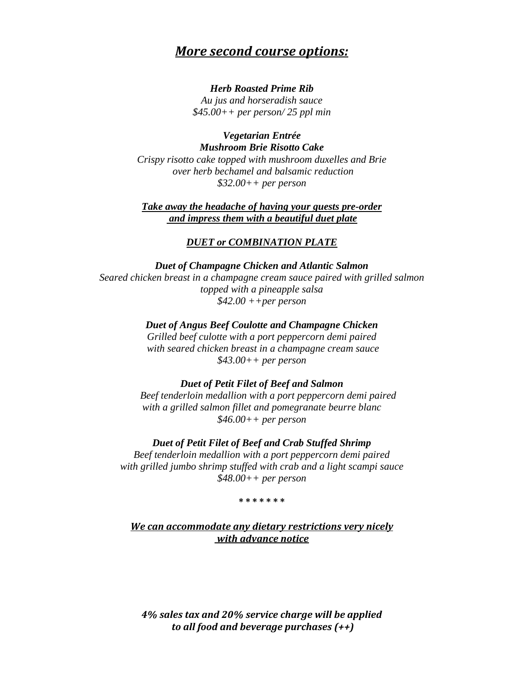# *More second course options:*

#### *Herb Roasted Prime Rib*

*Au jus and horseradish sauce \$45.00++ per person/ 25 ppl min*

*Vegetarian Entrée Mushroom Brie Risotto Cake* 

*Crispy risotto cake topped with mushroom duxelles and Brie over herb bechamel and balsamic reduction \$32.00++ per person*

*Take away the headache of having your guests pre-order and impress them with a beautiful duet plate*

## *DUET or COMBINATION PLATE*

*Duet of Champagne Chicken and Atlantic Salmon Seared chicken breast in a champagne cream sauce paired with grilled salmon topped with a pineapple salsa \$42.00 ++per person*

*Duet of Angus Beef Coulotte and Champagne Chicken*

*Grilled beef culotte with a port peppercorn demi paired with seared chicken breast in a champagne cream sauce \$43.00++ per person*

### *Duet of Petit Filet of Beef and Salmon*

 *Beef tenderloin medallion with a port peppercorn demi paired with a grilled salmon fillet and pomegranate beurre blanc \$46.00++ per person*

*Duet of Petit Filet of Beef and Crab Stuffed Shrimp Beef tenderloin medallion with a port peppercorn demi paired with grilled jumbo shrimp stuffed with crab and a light scampi sauce \$48.00++ per person*

#### **\* \* \* \* \* \* \***

*We can accommodate any dietary restrictions very nicely with advance notice*